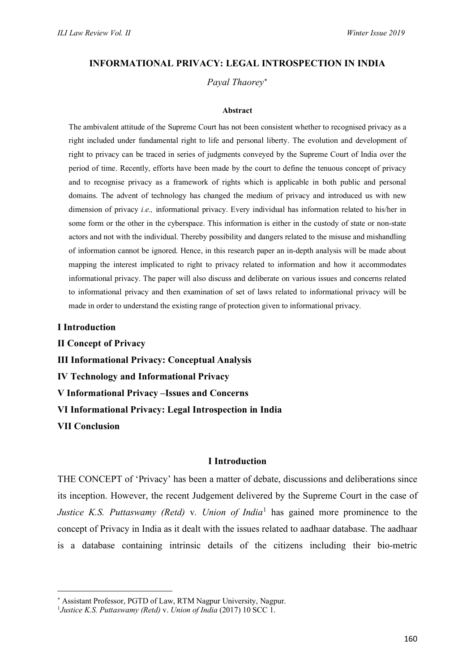#### **INFORMATIONAL PRIVACY: LEGAL INTROSPECTION IN INDIA**

*Payal Thaorey*[∗](#page-0-0)

#### **Abstract**

The ambivalent attitude of the Supreme Court has not been consistent whether to recognised privacy as a right included under fundamental right to life and personal liberty. The evolution and development of right to privacy can be traced in series of judgments conveyed by the Supreme Court of India over the period of time. Recently, efforts have been made by the court to define the tenuous concept of privacy and to recognise privacy as a framework of rights which is applicable in both public and personal domains. The advent of technology has changed the medium of privacy and introduced us with new dimension of privacy *i.e.,* informational privacy. Every individual has information related to his/her in some form or the other in the cyberspace. This information is either in the custody of state or non-state actors and not with the individual. Thereby possibility and dangers related to the misuse and mishandling of information cannot be ignored. Hence, in this research paper an in-depth analysis will be made about mapping the interest implicated to right to privacy related to information and how it accommodates informational privacy. The paper will also discuss and deliberate on various issues and concerns related to informational privacy and then examination of set of laws related to informational privacy will be made in order to understand the existing range of protection given to informational privacy.

**I Introduction**

**II Concept of Privacy III Informational Privacy: Conceptual Analysis IV Technology and Informational Privacy V Informational Privacy –Issues and Concerns VI Informational Privacy: Legal Introspection in India VII Conclusion**

#### **I Introduction**

THE CONCEPT of 'Privacy' has been a matter of debate, discussions and deliberations since its inception. However, the recent Judgement delivered by the Supreme Court in the case of *Justice K.S. Puttaswamy (Retd)* v*. Union of India*[1](#page-0-1) has gained more prominence to the concept of Privacy in India as it dealt with the issues related to aadhaar database. The aadhaar is a database containing intrinsic details of the citizens including their bio-metric

<span id="page-0-0"></span><sup>∗</sup> Assistant Professor, PGTD of Law, RTM Nagpur University, Nagpur.

<span id="page-0-1"></span><sup>1</sup> *Justice K.S. Puttaswamy (Retd)* v. *Union of India* (2017) 10 SCC 1.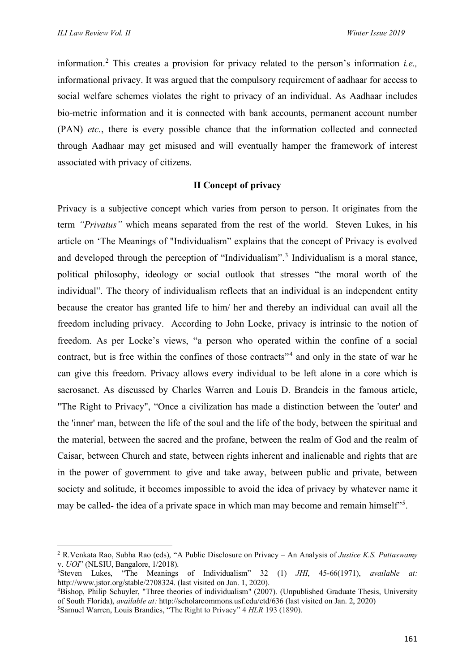information. [2](#page-1-0) This creates a provision for privacy related to the person's information *i.e.,* informational privacy. It was argued that the compulsory requirement of aadhaar for access to social welfare schemes violates the right to privacy of an individual. As Aadhaar includes bio-metric information and it is connected with bank accounts, permanent account number (PAN) *etc.*, there is every possible chance that the information collected and connected through Aadhaar may get misused and will eventually hamper the framework of interest associated with privacy of citizens.

# **II Concept of privacy**

Privacy is a subjective concept which varies from person to person. It originates from the term *"Privatus"* which means separated from the rest of the world. Steven Lukes, in his article on 'The Meanings of "Individualism" explains that the concept of Privacy is evolved and developed through the perception of "Individualism". [3](#page-1-1) Individualism is a moral stance, political philosophy, ideology or social outlook that stresses "the moral worth of the individual". The theory of individualism reflects that an individual is an independent entity because the creator has granted life to him/ her and thereby an individual can avail all the freedom including privacy. According to John Locke, privacy is intrinsic to the notion of freedom. As per Locke's views, "a person who operated within the confine of a social contract, but is free within the confines of those contracts<sup>"[4](#page-1-2)</sup> and only in the state of war he can give this freedom. Privacy allows every individual to be left alone in a core which is sacrosanct. As discussed by Charles Warren and Louis D. Brandeis in the famous article, "The Right to Privacy", "Once a civilization has made a distinction between the 'outer' and the 'inner' man, between the life of the soul and the life of the body, between the spiritual and the material, between the sacred and the profane, between the realm of God and the realm of Caisar, between Church and state, between rights inherent and inalienable and rights that are in the power of government to give and take away, between public and private, between society and solitude, it becomes impossible to avoid the idea of privacy by whatever name it may be called- the idea of a private space in which man may become and remain himself"<sup>[5](#page-1-3)</sup>.

<span id="page-1-0"></span><sup>2</sup> R.Venkata Rao, Subha Rao (eds), "A Public Disclosure on Privacy – An Analysis of *Justice K.S. Puttaswamy* v. *UOI*" (NLSIU, Bangalore, 1/2018).

<span id="page-1-1"></span>Steven Lukes, "The Meanings of Individualism" 32 (1) *JHI*, 45-66(1971), *available at:*  [http://www.jstor.org/stable/2708324.](http://www.jstor.org/stable/2708324) (last visited on Jan. 1, 2020).

<span id="page-1-3"></span><span id="page-1-2"></span><sup>&</sup>lt;sup>4</sup>Bishop, Philip Schuyler, "Three theories of individualism" (2007). (Unpublished Graduate Thesis, University of South Florida), *available at:* <http://scholarcommons.usf.edu/etd/636> (last visited on Jan. 2, 2020) 5 Samuel Warren, Louis Brandies, "The Right to Privacy" 4 *HLR* 193 (1890).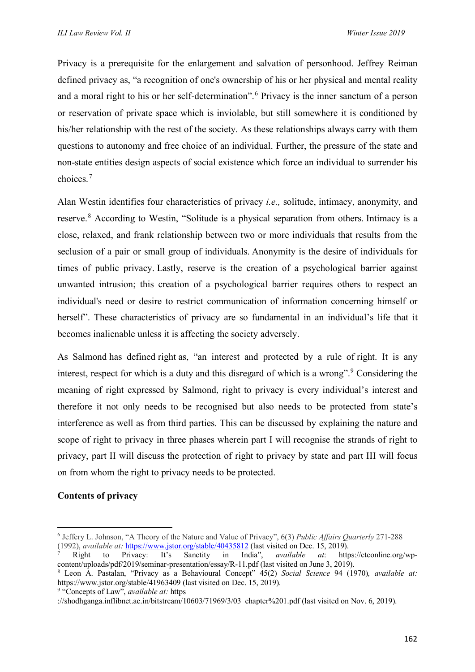Privacy is a prerequisite for the enlargement and salvation of personhood. Jeffrey Reiman defined privacy as, "a recognition of one's ownership of his or her physical and mental reality and a moral right to his or her self-determination". [6](#page-2-0) Privacy is the inner sanctum of a person or reservation of private space which is inviolable, but still somewhere it is conditioned by his/her relationship with the rest of the society. As these relationships always carry with them questions to autonomy and free choice of an individual. Further, the pressure of the state and non-state entities design aspects of social existence which force an individual to surrender his choices. [7](#page-2-1)

Alan Westin identifies four characteristics of privacy *i.e.,* solitude, intimacy, anonymity, and reserve.<sup>[8](#page-2-2)</sup> According to Westin, "Solitude is a physical separation from others. Intimacy is a close, relaxed, and frank relationship between two or more individuals that results from the seclusion of a pair or small group of individuals. Anonymity is the desire of individuals for times of public privacy. Lastly, reserve is the creation of a psychological barrier against unwanted intrusion; this creation of a psychological barrier requires others to respect an individual's need or desire to restrict communication of information concerning himself or herself". These characteristics of privacy are so fundamental in an individual's life that it becomes inalienable unless it is affecting the society adversely.

As Salmond has defined right as, "an interest and protected by a rule of right. It is any interest, respect for which is a duty and this disregard of which is a wrong". [9](#page-2-3) Considering the meaning of right expressed by Salmond, right to privacy is every individual's interest and therefore it not only needs to be recognised but also needs to be protected from state's interference as well as from third parties. This can be discussed by explaining the nature and scope of right to privacy in three phases wherein part I will recognise the strands of right to privacy, part II will discuss the protection of right to privacy by state and part III will focus on from whom the right to privacy needs to be protected.

# **Contents of privacy**

<span id="page-2-0"></span><sup>6</sup> Jeffery L. Johnson, "A Theory of the Nature and Value of Privacy", 6(3) *Public Affairs Quarterly* 271-288 (1992), *available at:* <https://www.jstor.org/stable/40435812> (last visited on Dec. 15, 2019).

<span id="page-2-1"></span><sup>7</sup> Right to Privacy: It's Sanctity in India", *available at*: [https://ctconline.org/wp](https://ctconline.org/wp-content/uploads/pdf/2019/seminar-presentation/essay/R-11.pdf)[content/uploads/pdf/2019/seminar-presentation/essay/R-11.pdf](https://ctconline.org/wp-content/uploads/pdf/2019/seminar-presentation/essay/R-11.pdf) (last visited on June 3, 2019).

<span id="page-2-2"></span><sup>8</sup> Leon A. Pastalan, "Privacy as a Behavioural Concept" 45(2) *Social Science* 94 (1970)*, available at:*  <https://www.jstor.org/stable/41963409> (last visited on Dec. 15, 2019).

<span id="page-2-3"></span><sup>9</sup> "Concepts of Law", *available at:* [https](https://shodhganga.inflibnet.ac.in/bitstream/10603/71969/3/03_chapter%201.pdf)

[<sup>://</sup>shodhganga.inflibnet.ac.in/bitstream/10603/71969/3/03\\_chapter%201.pdf](https://shodhganga.inflibnet.ac.in/bitstream/10603/71969/3/03_chapter%201.pdf) (last visited on Nov. 6, 2019).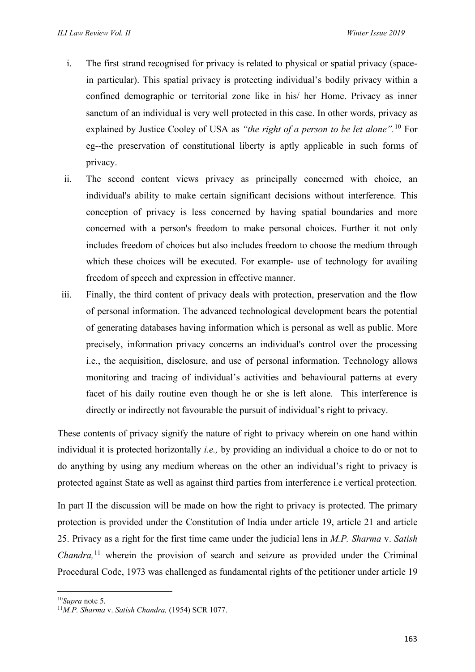- i. The first strand recognised for privacy is related to physical or spatial privacy (spacein particular). This spatial privacy is protecting individual's bodily privacy within a confined demographic or territorial zone like in his/ her Home. Privacy as inner sanctum of an individual is very well protected in this case. In other words, privacy as explained by Justice Cooley of USA as *"the right of a person to be let alone".* [10](#page-3-0) For eg--the preservation of constitutional liberty is aptly applicable in such forms of privacy.
- ii. The second content views privacy as principally concerned with choice, an individual's ability to make certain significant decisions without interference. This conception of privacy is less concerned by having spatial boundaries and more concerned with a person's freedom to make personal choices. Further it not only includes freedom of choices but also includes freedom to choose the medium through which these choices will be executed. For example- use of technology for availing freedom of speech and expression in effective manner.
- iii. Finally, the third content of privacy deals with protection, preservation and the flow of personal information. The advanced technological development bears the potential of generating databases having information which is personal as well as public. More precisely, information privacy concerns an individual's control over the processing i.e., the acquisition, disclosure, and use of personal information. Technology allows monitoring and tracing of individual's activities and behavioural patterns at every facet of his daily routine even though he or she is left alone. This interference is directly or indirectly not favourable the pursuit of individual's right to privacy.

These contents of privacy signify the nature of right to privacy wherein on one hand within individual it is protected horizontally *i.e.,* by providing an individual a choice to do or not to do anything by using any medium whereas on the other an individual's right to privacy is protected against State as well as against third parties from interference i.e vertical protection.

In part II the discussion will be made on how the right to privacy is protected. The primary protection is provided under the Constitution of India under article 19, article 21 and article 25. Privacy as a right for the first time came under the judicial lens in *M.P. Sharma* v. *Satish Chandra,* [11](#page-3-1) wherein the provision of search and seizure as provided under the Criminal Procedural Code, 1973 was challenged as fundamental rights of the petitioner under article 19

<span id="page-3-1"></span><span id="page-3-0"></span><sup>10</sup>*Supra* note 5. 11*M.P. Sharma* v. *Satish Chandra,* (1954) SCR 1077.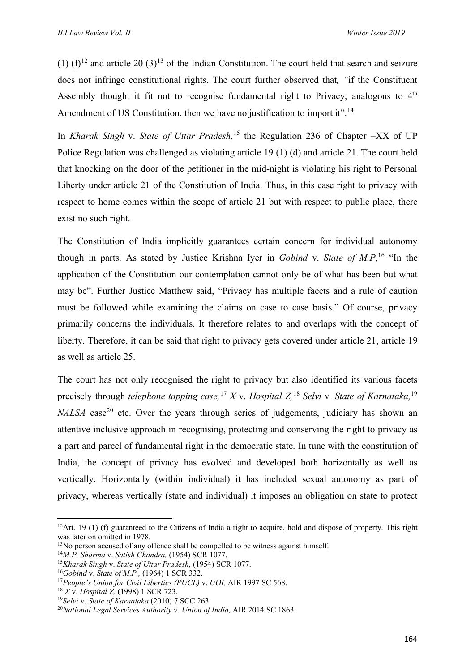(1)  $(f)^{12}$  $(f)^{12}$  $(f)^{12}$  and article 20 (3)<sup>[13](#page-4-1)</sup> of the Indian Constitution. The court held that search and seizure does not infringe constitutional rights. The court further observed that*, "*if the Constituent Assembly thought it fit not to recognise fundamental right to Privacy, analogous to 4<sup>th</sup> Amendment of US Constitution, then we have no justification to import it".<sup>[14](#page-4-2)</sup>

In *Kharak Singh* v. *State of Uttar Pradesh,* [15](#page-4-3) the Regulation 236 of Chapter –XX of UP Police Regulation was challenged as violating article 19 (1) (d) and article 21. The court held that knocking on the door of the petitioner in the mid-night is violating his right to Personal Liberty under article 21 of the Constitution of India. Thus, in this case right to privacy with respect to home comes within the scope of article 21 but with respect to public place, there exist no such right.

The Constitution of India implicitly guarantees certain concern for individual autonomy though in parts. As stated by Justice Krishna Iyer in *Gobind* v. *State of M.P,* [16](#page-4-4) "In the application of the Constitution our contemplation cannot only be of what has been but what may be". Further Justice Matthew said, "Privacy has multiple facets and a rule of caution must be followed while examining the claims on case to case basis." Of course, privacy primarily concerns the individuals. It therefore relates to and overlaps with the concept of liberty. Therefore, it can be said that right to privacy gets covered under article 21, article 19 as well as article 25.

The court has not only recognised the right to privacy but also identified its various facets precisely through *telephone tapping case,* [17](#page-4-5) *X* v. *Hospital Z,* [18](#page-4-6) *Selvi* v*. State of Karnataka,* [19](#page-4-7) *NALSA* case<sup>[20](#page-4-8)</sup> etc. Over the years through series of judgements, judiciary has shown an attentive inclusive approach in recognising, protecting and conserving the right to privacy as a part and parcel of fundamental right in the democratic state. In tune with the constitution of India, the concept of privacy has evolved and developed both horizontally as well as vertically. Horizontally (within individual) it has included sexual autonomy as part of privacy, whereas vertically (state and individual) it imposes an obligation on state to protect

<span id="page-4-0"></span><sup>&</sup>lt;sup>12</sup>Art. 19 (1) (f) guaranteed to the Citizens of India a right to acquire, hold and dispose of property. This right was later on omitted in 1978.

<span id="page-4-1"></span><sup>&</sup>lt;sup>13</sup>No person accused of any offence shall be compelled to be witness against himself.

<span id="page-4-2"></span><sup>14</sup>*M.P. Sharma* v. *Satish Chandra,* (1954) SCR 1077.

<span id="page-4-3"></span><sup>15</sup>*Kharak Singh* v. *State of Uttar Pradesh,* (1954) SCR 1077.

<span id="page-4-4"></span><sup>16</sup>*Gobind* v. *State of M.P.,* (1964) 1 SCR 332.

<span id="page-4-5"></span><sup>17</sup>*People's Union for Civil Liberties (PUCL)* v. *UOI,* AIR 1997 SC 568.

<span id="page-4-6"></span><sup>18</sup> *X* v. *Hospital Z,* (1998) 1 SCR 723.

<span id="page-4-7"></span><sup>19</sup>*Selvi* v. *State of Karnataka* (2010) 7 SCC 263.

<span id="page-4-8"></span><sup>20</sup>*National Legal Services Authority* v. *Union of India,* AIR 2014 SC 1863.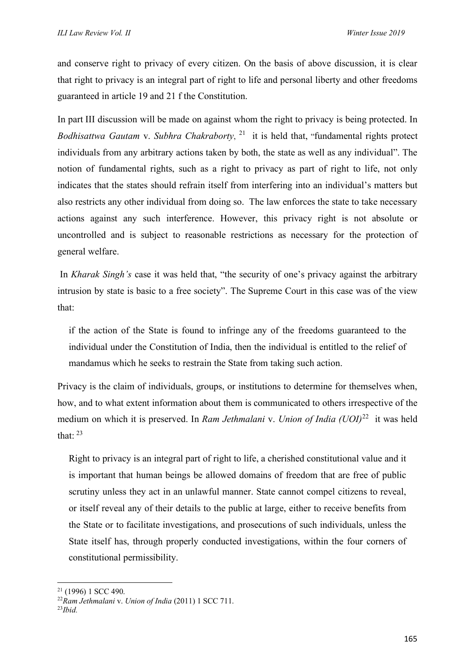and conserve right to privacy of every citizen. On the basis of above discussion, it is clear that right to privacy is an integral part of right to life and personal liberty and other freedoms guaranteed in article 19 and 21 f the Constitution.

In part III discussion will be made on against whom the right to privacy is being protected. In *Bodhisattwa Gautam* v. *Subhra Chakraborty*, [21](#page-5-0) it is held that, "fundamental rights protect individuals from any arbitrary actions taken by both, the state as well as any individual". The notion of fundamental rights, such as a right to privacy as part of right to life, not only indicates that the states should refrain itself from interfering into an individual's matters but also restricts any other individual from doing so. The law enforces the state to take necessary actions against any such interference. However, this privacy right is not absolute or uncontrolled and is subject to reasonable restrictions as necessary for the protection of general welfare.

In *Kharak Singh's* case it was held that, "the security of one's privacy against the arbitrary intrusion by state is basic to a free society". The Supreme Court in this case was of the view that:

if the action of the State is found to infringe any of the freedoms guaranteed to the individual under the Constitution of India, then the individual is entitled to the relief of mandamus which he seeks to restrain the State from taking such action.

Privacy is the claim of individuals, groups, or institutions to determine for themselves when, how, and to what extent information about them is communicated to others irrespective of the medium on which it is preserved. In *Ram Jethmalani* v. *Union of India (UOI)*[22](#page-5-1) it was held that:  $^{23}$  $^{23}$  $^{23}$ 

Right to privacy is an integral part of right to life, a cherished constitutional value and it is important that human beings be allowed domains of freedom that are free of public scrutiny unless they act in an unlawful manner. State cannot compel citizens to reveal, or itself reveal any of their details to the public at large, either to receive benefits from the State or to facilitate investigations, and prosecutions of such individuals, unless the State itself has, through properly conducted investigations, within the four corners of constitutional permissibility.

<span id="page-5-0"></span> $21(1996)$  1 SCC 490.

<span id="page-5-1"></span><sup>22</sup>*Ram Jethmalani* v. *Union of India* (2011) 1 SCC 711.

<span id="page-5-2"></span><sup>23</sup>*Ibid.*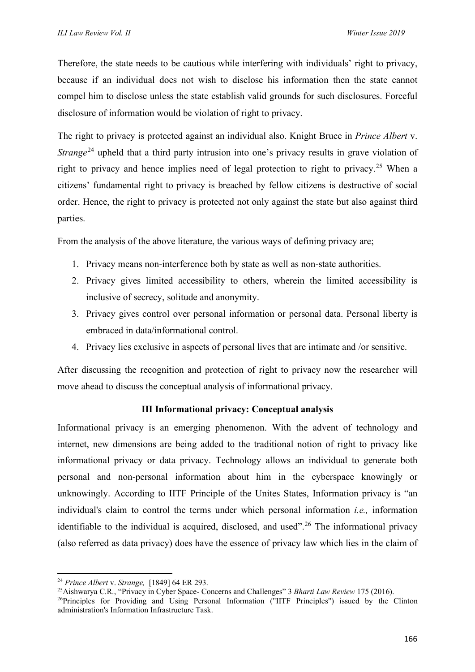Therefore, the state needs to be cautious while interfering with individuals' right to privacy, because if an individual does not wish to disclose his information then the state cannot compel him to disclose unless the state establish valid grounds for such disclosures. Forceful disclosure of information would be violation of right to privacy.

The right to privacy is protected against an individual also. Knight Bruce in *Prince Albert* v. *Strange*<sup>[24](#page-6-0)</sup> upheld that a third party intrusion into one's privacy results in grave violation of right to privacy and hence implies need of legal protection to right to privacy. [25](#page-6-1) When a citizens' fundamental right to privacy is breached by fellow citizens is destructive of social order. Hence, the right to privacy is protected not only against the state but also against third parties.

From the analysis of the above literature, the various ways of defining privacy are;

- 1. Privacy means non-interference both by state as well as non-state authorities.
- 2. Privacy gives limited accessibility to others, wherein the limited accessibility is inclusive of secrecy, solitude and anonymity.
- 3. Privacy gives control over personal information or personal data. Personal liberty is embraced in data/informational control.
- 4. Privacy lies exclusive in aspects of personal lives that are intimate and /or sensitive.

After discussing the recognition and protection of right to privacy now the researcher will move ahead to discuss the conceptual analysis of informational privacy.

# **III Informational privacy: Conceptual analysis**

Informational privacy is an emerging phenomenon. With the advent of technology and internet, new dimensions are being added to the traditional notion of right to privacy like informational privacy or data privacy. Technology allows an individual to generate both personal and non-personal information about him in the cyberspace knowingly or unknowingly. According to IITF Principle of the Unites States, Information privacy is "an individual's claim to control the terms under which personal information *i.e.,* information identifiable to the individual is acquired, disclosed, and used".<sup>[26](#page-6-2)</sup> The informational privacy (also referred as data privacy) does have the essence of privacy law which lies in the claim of

<span id="page-6-0"></span><sup>24</sup> *Prince Albert* v. *Strange,* [1849] 64 ER 293.

<span id="page-6-1"></span><sup>25</sup>Aishwarya C.R., "Privacy in Cyber Space- Concerns and Challenges" 3 *Bharti Law Review* 175 (2016).

<span id="page-6-2"></span><sup>26</sup>Principles for Providing and Using Personal Information ("IITF Principles") issued by the Clinton administration's Information Infrastructure Task.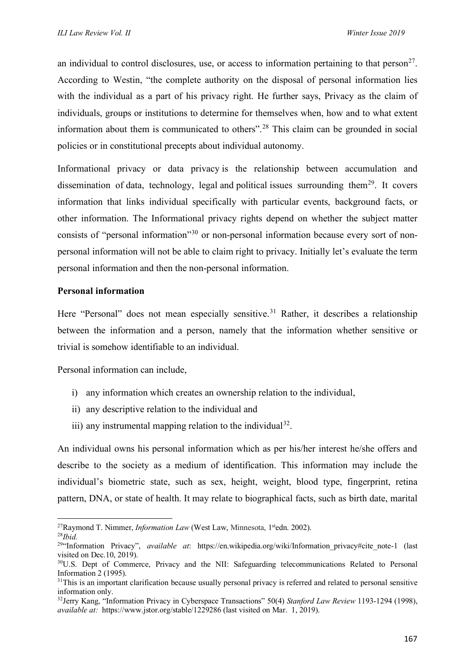an individual to control disclosures, use, or access to information pertaining to that  $person^{27}$  $person^{27}$  $person^{27}$ . According to Westin, "the complete authority on the disposal of personal information lies with the individual as a part of his privacy right. He further says, Privacy as the claim of individuals, groups or institutions to determine for themselves when, how and to what extent information about them is communicated to others". [28](#page-7-1) This claim can be grounded in social policies or in constitutional precepts about individual autonomy.

Informational privacy or data privacy is the relationship between accumulation and dissemination of [data,](https://en.wikipedia.org/wiki/Data) [technology,](https://en.wikipedia.org/wiki/Technology) [legal](https://en.wikipedia.org/wiki/Legal) and [political](https://en.wikipedia.org/wiki/Political) issues surrounding them<sup>[29](#page-7-2)</sup>. It covers information that links individual specifically with particular events, background facts, or other information. The Informational privacy rights depend on whether the subject matter consists of "personal information"[30](#page-7-3) or non-personal information because every sort of nonpersonal information will not be able to claim right to privacy. Initially let's evaluate the term personal information and then the non-personal information.

## **Personal information**

Here "Personal" does not mean especially sensitive.<sup>[31](#page-7-4)</sup> Rather, it describes a relationship between the information and a person, namely that the information whether sensitive or trivial is somehow identifiable to an individual.

Personal information can include,

- i) any information which creates an ownership relation to the individual,
- ii) any descriptive relation to the individual and
- iii) any instrumental mapping relation to the individual<sup>[32](#page-7-5)</sup>.

An individual owns his personal information which as per his/her interest he/she offers and describe to the society as a medium of identification. This information may include the individual's biometric state, such as sex, height, weight, blood type, fingerprint, retina pattern, DNA, or state of health. It may relate to biographical facts, such as birth date, marital

<span id="page-7-0"></span><sup>&</sup>lt;sup>27</sup>Raymond T. Nimmer, *Information Law* (West Law, Minnesota, 1<sup>st</sup>edn. 2002). <sup>28</sup>*Ibid.*

<span id="page-7-2"></span><span id="page-7-1"></span><sup>&</sup>lt;sup>29"</sup>Information Privacy", *available at*: [https://en.wikipedia.org/wiki/Information\\_privacy#cite\\_note-1](https://en.wikipedia.org/wiki/Information_privacy#cite_note-1) (last visited on Dec.10, 2019).

<span id="page-7-3"></span><sup>&</sup>lt;sup>30</sup>U.S. Dept of Commerce, Privacy and the NII: Safeguarding telecommunications Related to Personal Information 2 (1995).

<span id="page-7-4"></span> $31$ This is an important clarification because usually personal privacy is referred and related to personal sensitive information only.

<span id="page-7-5"></span><sup>32</sup>Jerry Kang, "Information Privacy in Cyberspace Transactions" 50(4) *Stanford Law Review* 1193-1294 (1998), *available at:* https://www.jstor.org/stable/1229286 (last visited on Mar. 1, 2019).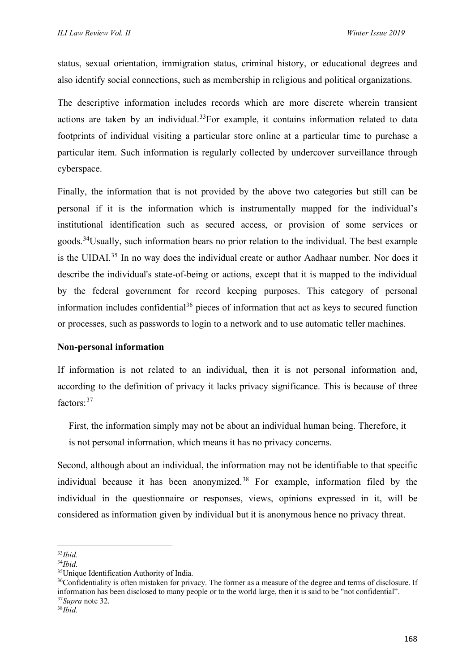status, sexual orientation, immigration status, criminal history, or educational degrees and also identify social connections, such as membership in religious and political organizations.

The descriptive information includes records which are more discrete wherein transient actions are taken by an individual.<sup>[33](#page-8-0)</sup>For example, it contains information related to data footprints of individual visiting a particular store online at a particular time to purchase a particular item. Such information is regularly collected by undercover surveillance through cyberspace.

Finally, the information that is not provided by the above two categories but still can be personal if it is the information which is instrumentally mapped for the individual's institutional identification such as secured access, or provision of some services or goods.<sup>[34](#page-8-1)</sup>Usually, such information bears no prior relation to the individual. The best example is the UIDAI.<sup>[35](#page-8-2)</sup> In no way does the individual create or author Aadhaar number. Nor does it describe the individual's state-of-being or actions, except that it is mapped to the individual by the federal government for record keeping purposes. This category of personal information includes confidential<sup>[36](#page-8-3)</sup> pieces of information that act as keys to secured function or processes, such as passwords to login to a network and to use automatic teller machines.

#### **Non-personal information**

If information is not related to an individual, then it is not personal information and, according to the definition of privacy it lacks privacy significance. This is because of three factors: [37](#page-8-4)

First, the information simply may not be about an individual human being. Therefore, it is not personal information, which means it has no privacy concerns.

Second, although about an individual, the information may not be identifiable to that specific individual because it has been anonymized. [38](#page-8-5) For example, information filed by the individual in the questionnaire or responses, views, opinions expressed in it, will be considered as information given by individual but it is anonymous hence no privacy threat.

<span id="page-8-0"></span><sup>33</sup>*Ibid.*

<span id="page-8-1"></span><sup>34</sup>*Ibid.*

<span id="page-8-2"></span><sup>&</sup>lt;sup>35</sup>Unique Identification Authority of India.

<span id="page-8-3"></span><sup>&</sup>lt;sup>36</sup>Confidentiality is often mistaken for privacy. The former as a measure of the degree and terms of disclosure. If information has been disclosed to many people or to the world large, then it is said to be "not confidential".

<span id="page-8-5"></span><span id="page-8-4"></span><sup>37</sup>*Supra* note 32. 38*Ibid.*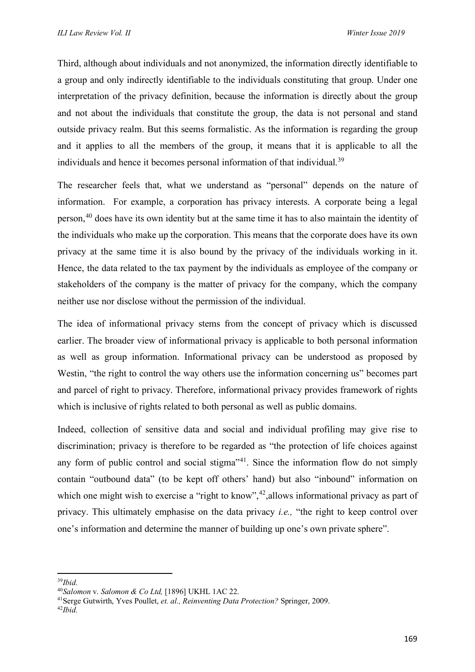Third, although about individuals and not anonymized, the information directly identifiable to a group and only indirectly identifiable to the individuals constituting that group. Under one interpretation of the privacy definition, because the information is directly about the group and not about the individuals that constitute the group, the data is not personal and stand outside privacy realm. But this seems formalistic. As the information is regarding the group and it applies to all the members of the group, it means that it is applicable to all the individuals and hence it becomes personal information of that individual.<sup>[39](#page-9-0)</sup>

The researcher feels that, what we understand as "personal" depends on the nature of information. For example, a corporation has privacy interests. A corporate being a legal person,<sup>[40](#page-9-1)</sup> does have its own identity but at the same time it has to also maintain the identity of the individuals who make up the corporation. This means that the corporate does have its own privacy at the same time it is also bound by the privacy of the individuals working in it. Hence, the data related to the tax payment by the individuals as employee of the company or stakeholders of the company is the matter of privacy for the company, which the company neither use nor disclose without the permission of the individual.

The idea of informational privacy stems from the concept of privacy which is discussed earlier. The broader view of informational privacy is applicable to both personal information as well as group information. Informational privacy can be understood as proposed by Westin, "the right to control the way others use the information concerning us" becomes part and parcel of right to privacy. Therefore, informational privacy provides framework of rights which is inclusive of rights related to both personal as well as public domains.

Indeed, collection of sensitive data and social and individual profiling may give rise to discrimination; privacy is therefore to be regarded as "the protection of life choices against any form of public control and social stigma $"^{41}$  $"^{41}$  $"^{41}$ . Since the information flow do not simply contain "outbound data" (to be kept off others' hand) but also "inbound" information on which one might wish to exercise a "right to know",  $42$ , allows informational privacy as part of privacy. This ultimately emphasise on the data privacy *i.e.,* "the right to keep control over one's information and determine the manner of building up one's own private sphere".

<span id="page-9-0"></span><sup>39</sup>*Ibid.*

<span id="page-9-1"></span><sup>40</sup>*Salomon* v. *Salomon & Co Ltd,* [1896] UKHL 1AC 22.

<span id="page-9-2"></span><sup>41</sup>Serge Gutwirth, Yves Poullet, *et. al., Reinventing Data Protection?* Springer, 2009.

<span id="page-9-3"></span><sup>42</sup>*Ibid.*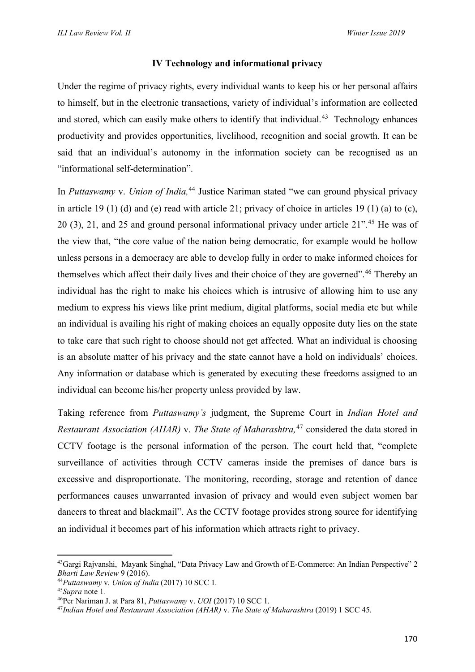# **IV Technology and informational privacy**

Under the regime of privacy rights, every individual wants to keep his or her personal affairs to himself, but in the electronic transactions, variety of individual's information are collected and stored, which can easily make others to identify that individual.<sup>43</sup> Technology enhances productivity and provides opportunities, livelihood, recognition and social growth. It can be said that an individual's autonomy in the information society can be recognised as an "informational self-determination".

In *Puttaswamy* v. *Union of India,* [44](#page-10-1) Justice Nariman stated "we can ground physical privacy in article 19 (1) (d) and (e) read with article 21; privacy of choice in articles 19 (1) (a) to (c), 20 (3), 21, and 25 and ground personal informational privacy under article 21". [45](#page-10-2) He was of the view that, "the core value of the nation being democratic, for example would be hollow unless persons in a democracy are able to develop fully in order to make informed choices for themselves which affect their daily lives and their choice of they are governed".<sup>[46](#page-10-3)</sup> Thereby an individual has the right to make his choices which is intrusive of allowing him to use any medium to express his views like print medium, digital platforms, social media etc but while an individual is availing his right of making choices an equally opposite duty lies on the state to take care that such right to choose should not get affected. What an individual is choosing is an absolute matter of his privacy and the state cannot have a hold on individuals' choices. Any information or database which is generated by executing these freedoms assigned to an individual can become his/her property unless provided by law.

Taking reference from *Puttaswamy's* judgment, the Supreme Court in *Indian Hotel and Restaurant Association (AHAR)* v. *The State of Maharashtra,* [47](#page-10-4) considered the data stored in CCTV footage is the personal information of the person. The court held that, "complete surveillance of activities through CCTV cameras inside the premises of dance bars is excessive and disproportionate. The monitoring, recording, storage and retention of dance performances causes unwarranted invasion of privacy and would even subject women bar dancers to threat and blackmail". As the CCTV footage provides strong source for identifying an individual it becomes part of his information which attracts right to privacy.

<span id="page-10-0"></span><sup>&</sup>lt;sup>43</sup>Gargi Rajvanshi, Mayank Singhal, "Data Privacy Law and Growth of E-Commerce: An Indian Perspective" 2 *Bharti Law Review* 9 (2016).

<span id="page-10-1"></span><sup>44</sup>*Puttaswamy* v. *Union of India* (2017) 10 SCC 1.

<span id="page-10-2"></span><sup>45</sup>*Supra* note 1*.*

<span id="page-10-3"></span><sup>46</sup>Per Nariman J. at Para 81, *Puttaswamy* v. *UOI* (2017) 10 SCC 1.

<span id="page-10-4"></span><sup>47</sup>*Indian Hotel and Restaurant Association (AHAR)* v. *The State of Maharashtra* (2019) 1 SCC 45.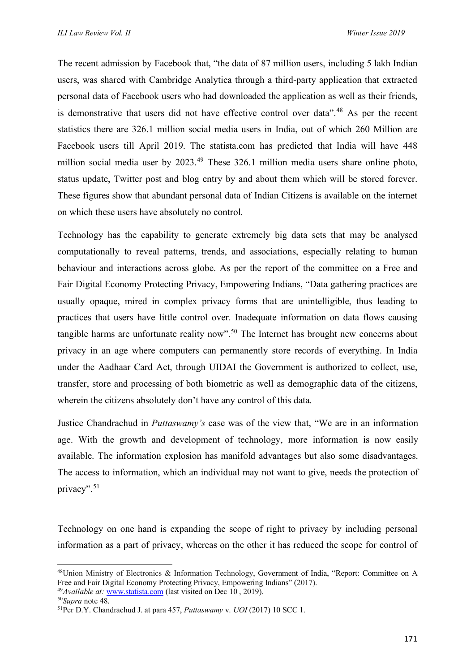The recent admission by Facebook that, "the data of 87 million users, including 5 lakh Indian users, was shared with Cambridge Analytica through a third-party application that extracted personal data of Facebook users who had downloaded the application as well as their friends, is demonstrative that users did not have effective control over data".<sup>[48](#page-11-0)</sup> As per the recent statistics there are 326.1 million social media users in India, out of which 260 Million are Facebook users till April 2019. The statista.com has predicted that India will have 448 million social media user by 2023.<sup>[49](#page-11-1)</sup> These 326.1 million media users share online photo, status update, Twitter post and blog entry by and about them which will be stored forever. These figures show that abundant personal data of Indian Citizens is available on the internet on which these users have absolutely no control.

Technology has the capability to generate extremely big data sets that may be analysed computationally to reveal patterns, trends, and associations, especially relating to human behaviour and interactions across globe. As per the report of the committee on a Free and Fair Digital Economy Protecting Privacy, Empowering Indians, "Data gathering practices are usually opaque, mired in complex privacy forms that are unintelligible, thus leading to practices that users have little control over. Inadequate information on data flows causing tangible harms are unfortunate reality now".<sup>[50](#page-11-2)</sup> The Internet has brought new concerns about privacy in an age where computers can permanently store records of everything. In India under the Aadhaar Card Act, through UIDAI the Government is authorized to collect, use, transfer, store and processing of both biometric as well as demographic data of the citizens, wherein the citizens absolutely don't have any control of this data.

Justice Chandrachud in *Puttaswamy's* case was of the view that, "We are in an information age. With the growth and development of technology, more information is now easily available. The information explosion has manifold advantages but also some disadvantages. The access to information, which an individual may not want to give, needs the protection of privacy".<sup>[51](#page-11-3)</sup>

Technology on one hand is expanding the scope of right to privacy by including personal information as a part of privacy, whereas on the other it has reduced the scope for control of

<span id="page-11-0"></span><sup>48</sup>Union Ministry of Electronics & Information Technology, Government of India, "Report: Committee on A Free and Fair Digital Economy Protecting Privacy, Empowering Indians" (2017).

<span id="page-11-1"></span><sup>&</sup>lt;sup>49</sup>*Available at:* [www.statista.com](http://www.statista.com/) (last visited on Dec 10, 2019).<br><sup>50</sup>*Supra* note 48.

<span id="page-11-2"></span>

<span id="page-11-3"></span><sup>&</sup>lt;sup>51</sup>Per D.Y. Chandrachud J. at para 457, *Puttaswamy v. UOI* (2017) 10 SCC 1.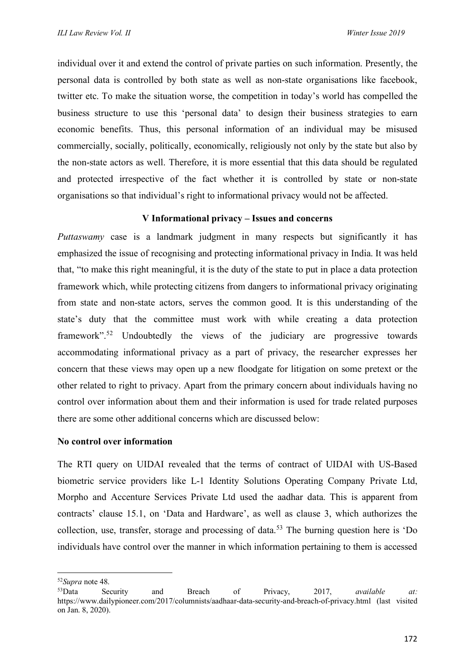individual over it and extend the control of private parties on such information. Presently, the personal data is controlled by both state as well as non-state organisations like facebook, twitter etc. To make the situation worse, the competition in today's world has compelled the business structure to use this 'personal data' to design their business strategies to earn economic benefits. Thus, this personal information of an individual may be misused commercially, socially, politically, economically, religiously not only by the state but also by the non-state actors as well. Therefore, it is more essential that this data should be regulated and protected irrespective of the fact whether it is controlled by state or non-state organisations so that individual's right to informational privacy would not be affected.

# **V Informational privacy – Issues and concerns**

*Puttaswamy* case is a landmark judgment in many respects but significantly it has emphasized the issue of recognising and protecting informational privacy in India. It was held that, "to make this right meaningful, it is the duty of the state to put in place a data protection framework which, while protecting citizens from dangers to informational privacy originating from state and non-state actors, serves the common good. It is this understanding of the state's duty that the committee must work with while creating a data protection framework".<sup>[52](#page-12-0)</sup> Undoubtedly the views of the judiciary are progressive towards accommodating informational privacy as a part of privacy, the researcher expresses her concern that these views may open up a new floodgate for litigation on some pretext or the other related to right to privacy. Apart from the primary concern about individuals having no control over information about them and their information is used for trade related purposes there are some other additional concerns which are discussed below:

#### **No control over information**

The RTI query on UIDAI revealed that the terms of contract of UIDAI with US-Based biometric service providers like L-1 Identity Solutions Operating Company Private Ltd, Morpho and Accenture Services Private Ltd used the aadhar data. This is apparent from contracts' clause 15.1, on 'Data and Hardware', as well as clause 3, which authorizes the collection, use, transfer, storage and processing of data. [53](#page-12-1) The burning question here is 'Do individuals have control over the manner in which information pertaining to them is accessed

<span id="page-12-0"></span><sup>52</sup>*Supra* note 48.

<span id="page-12-1"></span><sup>53</sup>Data Security and Breach of Privacy, 2017, *available at:* <https://www.dailypioneer.com/2017/columnists/aadhaar-data-security-and-breach-of-privacy.html> (last visited on Jan. 8, 2020).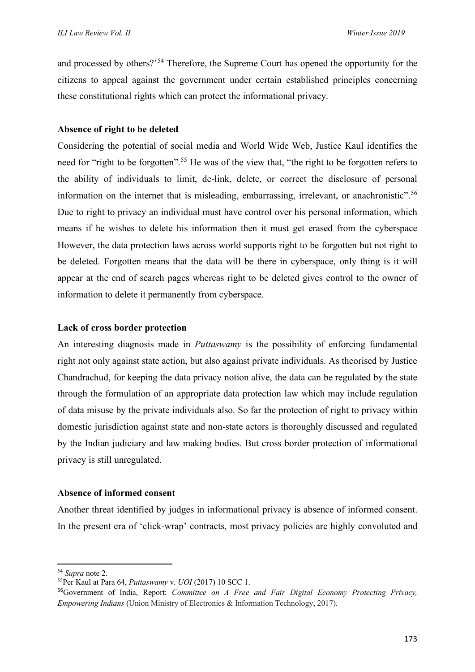and processed by others?<sup>[54](#page-13-0)</sup> Therefore, the Supreme Court has opened the opportunity for the citizens to appeal against the government under certain established principles concerning these constitutional rights which can protect the informational privacy.

## **Absence of right to be deleted**

Considering the potential of social media and World Wide Web, Justice Kaul identifies the need for "right to be forgotten". [55](#page-13-1) He was of the view that, "the right to be forgotten refers to the ability of individuals to limit, de-link, delete, or correct the disclosure of personal information on the internet that is misleading, embarrassing, irrelevant, or anachronistic".<sup>[56](#page-13-2)</sup> Due to right to privacy an individual must have control over his personal information, which means if he wishes to delete his information then it must get erased from the cyberspace However, the data protection laws across world supports right to be forgotten but not right to be deleted. Forgotten means that the data will be there in cyberspace, only thing is it will appear at the end of search pages whereas right to be deleted gives control to the owner of information to delete it permanently from cyberspace.

## **Lack of cross border protection**

An interesting diagnosis made in *Puttaswamy* is the possibility of enforcing fundamental right not only against state action, but also against private individuals. As theorised by Justice Chandrachud, for keeping the data privacy notion alive, the data can be regulated by the state through the formulation of an appropriate data protection law which may include regulation of data misuse by the private individuals also. So far the protection of right to privacy within domestic jurisdiction against state and non-state actors is thoroughly discussed and regulated by the Indian judiciary and law making bodies. But cross border protection of informational privacy is still unregulated.

#### **Absence of informed consent**

Another threat identified by judges in informational privacy is absence of informed consent. In the present era of 'click-wrap' contracts, most privacy policies are highly convoluted and

<span id="page-13-0"></span><sup>54</sup> *Supra* note 2.

<span id="page-13-1"></span><sup>55</sup>Per Kaul at Para 64, *Puttaswamy* v. *UOI* (2017) 10 SCC 1.

<span id="page-13-2"></span><sup>56</sup>Government of India, Report: *Committee on A Free and Fair Digital Economy Protecting Privacy, Empowering Indians* (Union Ministry of Electronics & Information Technology, 2017).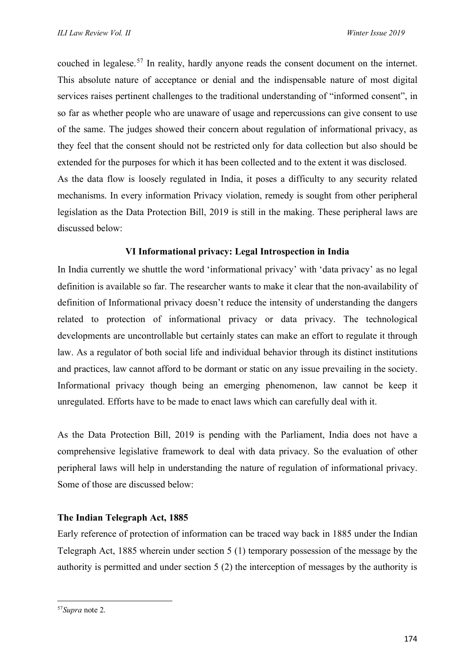couched in legalese. [57](#page-14-0) In reality, hardly anyone reads the consent document on the internet. This absolute nature of acceptance or denial and the indispensable nature of most digital services raises pertinent challenges to the traditional understanding of "informed consent", in so far as whether people who are unaware of usage and repercussions can give consent to use of the same. The judges showed their concern about regulation of informational privacy, as they feel that the consent should not be restricted only for data collection but also should be extended for the purposes for which it has been collected and to the extent it was disclosed. As the data flow is loosely regulated in India, it poses a difficulty to any security related mechanisms. In every information Privacy violation, remedy is sought from other peripheral legislation as the Data Protection Bill, 2019 is still in the making. These peripheral laws are discussed below:

# **VI Informational privacy: Legal Introspection in India**

In India currently we shuttle the word 'informational privacy' with 'data privacy' as no legal definition is available so far. The researcher wants to make it clear that the non-availability of definition of Informational privacy doesn't reduce the intensity of understanding the dangers related to protection of informational privacy or data privacy. The technological developments are uncontrollable but certainly states can make an effort to regulate it through law. As a regulator of both social life and individual behavior through its distinct institutions and practices, law cannot afford to be dormant or static on any issue prevailing in the society. Informational privacy though being an emerging phenomenon, law cannot be keep it unregulated. Efforts have to be made to enact laws which can carefully deal with it.

As the Data Protection Bill, 2019 is pending with the Parliament, India does not have a comprehensive legislative framework to deal with data privacy. So the evaluation of other peripheral laws will help in understanding the nature of regulation of informational privacy. Some of those are discussed below:

#### **The Indian Telegraph Act, 1885**

Early reference of protection of information can be traced way back in 1885 under the Indian Telegraph Act, 1885 wherein under section 5 (1) temporary possession of the message by the authority is permitted and under section 5 (2) the interception of messages by the authority is

<span id="page-14-0"></span><sup>57</sup>*Supra* note 2.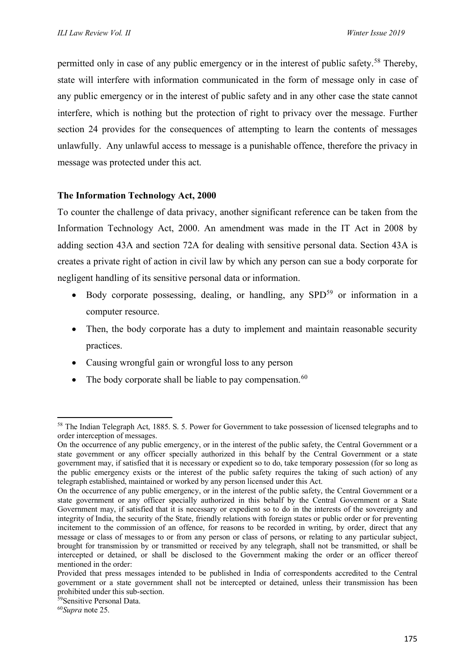permitted only in case of any public emergency or in the interest of public safety.<sup>[58](#page-15-0)</sup> Thereby, state will interfere with information communicated in the form of message only in case of any public emergency or in the interest of public safety and in any other case the state cannot interfere, which is nothing but the protection of right to privacy over the message. Further section 24 provides for the consequences of attempting to learn the contents of messages unlawfully. Any unlawful access to message is a punishable offence, therefore the privacy in message was protected under this act.

# **The Information Technology Act, 2000**

To counter the challenge of data privacy, another significant reference can be taken from the Information Technology Act, 2000. An amendment was made in the IT Act in 2008 by adding section 43A and section 72A for dealing with sensitive personal data. Section 43A is creates a private right of action in civil law by which any person can sue a body corporate for negligent handling of its sensitive personal data or information.

- Body corporate possessing, dealing, or handling, any  $SPD<sup>59</sup>$  $SPD<sup>59</sup>$  $SPD<sup>59</sup>$  or information in a computer resource.
- Then, the body corporate has a duty to implement and maintain reasonable security practices.
- Causing wrongful gain or wrongful loss to any person
- The body corporate shall be liable to pay compensation.  $60$

<span id="page-15-0"></span><sup>&</sup>lt;sup>58</sup> The Indian Telegraph Act, 1885. S. 5. Power for Government to take possession of licensed telegraphs and to order interception of messages.

On the occurrence of any public emergency, or in the interest of the public safety, the Central Government or a state government or any officer specially authorized in this behalf by the Central Government or a state government may, if satisfied that it is necessary or expedient so to do, take temporary possession (for so long as the public emergency exists or the interest of the public safety requires the taking of such action) of any telegraph established, maintained or worked by any person licensed under this Act.

On the occurrence of any public emergency, or in the interest of the public safety, the Central Government or a state government or any officer specially authorized in this behalf by the Central Government or a State Government may, if satisfied that it is necessary or expedient so to do in the interests of the sovereignty and integrity of India, the security of the State, friendly relations with foreign states or public order or for preventing incitement to the commission of an offence, for reasons to be recorded in writing, by order, direct that any message or class of messages to or from any person or class of persons, or relating to any particular subject, brought for transmission by or transmitted or received by any telegraph, shall not be transmitted, or shall be intercepted or detained, or shall be disclosed to the Government making the order or an officer thereof mentioned in the order:

Provided that press messages intended to be published in India of correspondents accredited to the Central government or a state government shall not be intercepted or detained, unless their transmission has been prohibited under this sub-section.

<span id="page-15-1"></span><sup>59</sup> Sensitive Personal Data.

<span id="page-15-2"></span><sup>60</sup>*Supra* note 25.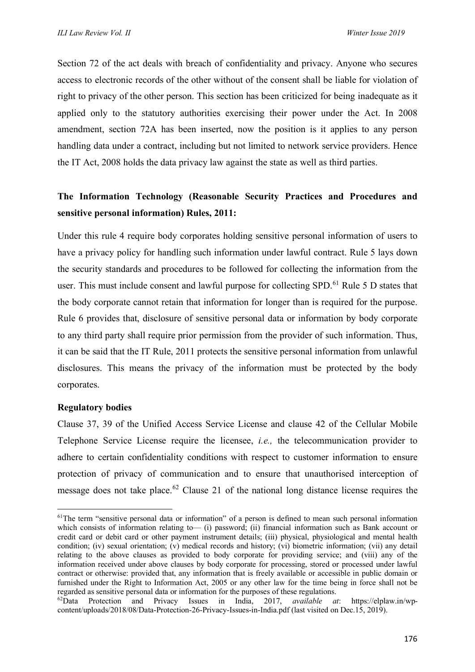Section 72 of the act deals with breach of confidentiality and privacy. Anyone who secures access to electronic records of the other without of the consent shall be liable for violation of right to privacy of the other person. This section has been criticized for being inadequate as it applied only to the statutory authorities exercising their power under the Act. In 2008 amendment, section 72A has been inserted, now the position is it applies to any person handling data under a contract, including but not limited to network service providers. Hence the IT Act, 2008 holds the data privacy law against the state as well as third parties.

# **The Information Technology (Reasonable Security Practices and Procedures and sensitive personal information) Rules, 2011:**

Under this rule 4 require body corporates holding sensitive personal information of users to have a privacy policy for handling such information under lawful contract. Rule 5 lays down the security standards and procedures to be followed for collecting the information from the user. This must include consent and lawful purpose for collecting SPD.<sup>[61](#page-16-0)</sup> Rule 5 D states that the body corporate cannot retain that information for longer than is required for the purpose. Rule 6 provides that, disclosure of sensitive personal data or information by body corporate to any third party shall require prior permission from the provider of such information. Thus, it can be said that the IT Rule, 2011 protects the sensitive personal information from unlawful disclosures. This means the privacy of the information must be protected by the body corporates.

#### **Regulatory bodies**

Clause 37, 39 of the Unified Access Service License and clause 42 of the Cellular Mobile Telephone Service License require the licensee, *i.e.,* the telecommunication provider to adhere to certain confidentiality conditions with respect to customer information to ensure protection of privacy of communication and to ensure that unauthorised interception of message does not take place.<sup>[62](#page-16-1)</sup> Clause 21 of the national long distance license requires the

<span id="page-16-0"></span><sup>&</sup>lt;sup>61</sup>The term "sensitive personal data or information" of a person is defined to mean such personal information which consists of information relating to— (i) password; (ii) financial information such as Bank account or credit card or debit card or other payment instrument details; (iii) physical, physiological and mental health condition; (iv) sexual orientation; (v) medical records and history; (vi) biometric information; (vii) any detail relating to the above clauses as provided to body corporate for providing service; and (viii) any of the information received under above clauses by body corporate for processing, stored or processed under lawful contract or otherwise: provided that, any information that is freely available or accessible in public domain or furnished under the Right to Information Act, 2005 or any other law for the time being in force shall not be regarded as sensitive personal data or information for the purposes of these regulations.

<span id="page-16-1"></span><sup>62</sup>Data Protection and Privacy Issues in India, 2017, *available at*: [https://elplaw.in/wp](https://elplaw.in/wp-content/uploads/2018/08/Data-Protection-26-Privacy-Issues-in-India.pdf)[content/uploads/2018/08/Data-Protection-26-Privacy-Issues-in-India.pdf](https://elplaw.in/wp-content/uploads/2018/08/Data-Protection-26-Privacy-Issues-in-India.pdf) (last visited on Dec.15, 2019).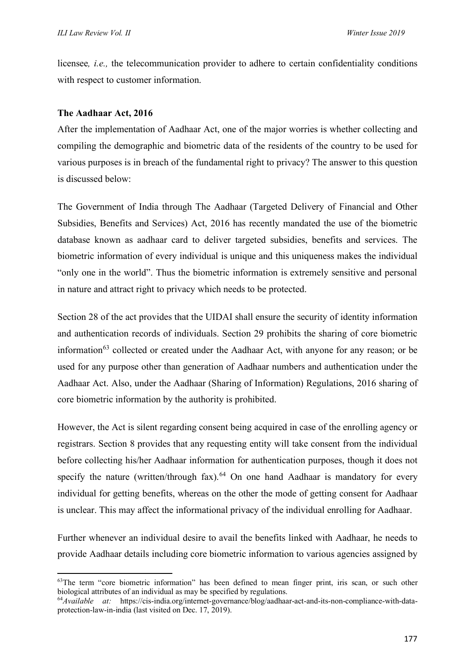licensee*, i.e.,* the telecommunication provider to adhere to certain confidentiality conditions with respect to customer information.

## **The Aadhaar Act, 2016**

After the implementation of Aadhaar Act, one of the major worries is whether collecting and compiling the demographic and biometric data of the residents of the country to be used for various purposes is in breach of the fundamental right to privacy? The answer to this question is discussed below:

The Government of India through The Aadhaar (Targeted Delivery of Financial and Other Subsidies, Benefits and Services) Act, 2016 has recently mandated the use of the biometric database known as aadhaar card to deliver targeted subsidies, benefits and services. The biometric information of every individual is unique and this uniqueness makes the individual "only one in the world". Thus the biometric information is extremely sensitive and personal in nature and attract right to privacy which needs to be protected.

Section 28 of the act provides that the UIDAI shall ensure the security of identity information and authentication records of individuals. Section 29 prohibits the sharing of core biometric information $63$  collected or created under the Aadhaar Act, with anyone for any reason; or be used for any purpose other than generation of Aadhaar numbers and authentication under the Aadhaar Act. Also, under the Aadhaar (Sharing of Information) Regulations, 2016 sharing of core biometric information by the authority is prohibited.

However, the Act is silent regarding consent being acquired in case of the enrolling agency or registrars. Section 8 provides that any requesting entity will take consent from the individual before collecting his/her Aadhaar information for authentication purposes, though it does not specify the nature (written/through fax). $64$  On one hand Aadhaar is mandatory for every individual for getting benefits, whereas on the other the mode of getting consent for Aadhaar is unclear. This may affect the informational privacy of the individual enrolling for Aadhaar.

Further whenever an individual desire to avail the benefits linked with Aadhaar, he needs to provide Aadhaar details including core biometric information to various agencies assigned by

<span id="page-17-0"></span><sup>&</sup>lt;sup>63</sup>The term "core biometric information" has been defined to mean finger print, iris scan, or such other biological attributes of an individual as may be specified by regulations.

<span id="page-17-1"></span><sup>64</sup>*Available at:* [https://cis-india.org/internet-governance/blog/aadhaar-act-and-its-non-compliance-with-data](https://cis-india.org/internet-governance/blog/aadhaar-act-and-its-non-compliance-with-data-protection-law-in-india)[protection-law-in-india](https://cis-india.org/internet-governance/blog/aadhaar-act-and-its-non-compliance-with-data-protection-law-in-india) (last visited on Dec. 17, 2019).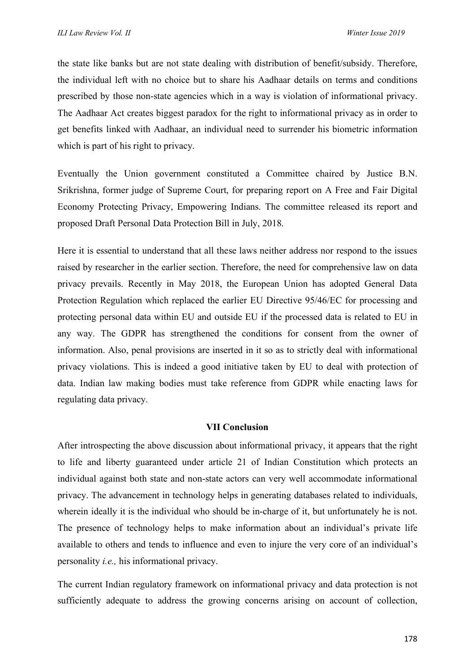the state like banks but are not state dealing with distribution of benefit/subsidy. Therefore, the individual left with no choice but to share his Aadhaar details on terms and conditions prescribed by those non-state agencies which in a way is violation of informational privacy. The Aadhaar Act creates biggest paradox for the right to informational privacy as in order to get benefits linked with Aadhaar, an individual need to surrender his biometric information which is part of his right to privacy.

Eventually the Union government constituted a Committee chaired by Justice B.N. Srikrishna, former judge of Supreme Court, for preparing report on A Free and Fair Digital Economy Protecting Privacy, Empowering Indians. The committee released its report and proposed Draft Personal Data Protection Bill in July, 2018.

Here it is essential to understand that all these laws neither address nor respond to the issues raised by researcher in the earlier section. Therefore, the need for comprehensive law on data privacy prevails. Recently in May 2018, the European Union has adopted General Data Protection Regulation which replaced the earlier EU Directive 95/46/EC for processing and protecting personal data within EU and outside EU if the processed data is related to EU in any way. The GDPR has strengthened the conditions for consent from the owner of information. Also, penal provisions are inserted in it so as to strictly deal with informational privacy violations. This is indeed a good initiative taken by EU to deal with protection of data. Indian law making bodies must take reference from GDPR while enacting laws for regulating data privacy.

#### **VII Conclusion**

After introspecting the above discussion about informational privacy, it appears that the right to life and liberty guaranteed under article 21 of Indian Constitution which protects an individual against both state and non-state actors can very well accommodate informational privacy. The advancement in technology helps in generating databases related to individuals, wherein ideally it is the individual who should be in-charge of it, but unfortunately he is not. The presence of technology helps to make information about an individual's private life available to others and tends to influence and even to injure the very core of an individual's personality *i.e.,* his informational privacy.

The current Indian regulatory framework on informational privacy and data protection is not sufficiently adequate to address the growing concerns arising on account of collection,